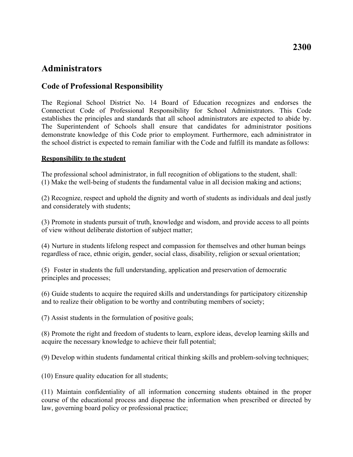# **Administrators**

## **Code of Professional Responsibility**

 the school district is expected to remain familiar with the Code and fulfill its mandate as follows: The Regional School District No. 14 Board of Education recognizes and endorses the Connecticut Code of Professional Responsibility for School Administrators. This Code establishes the principles and standards that all school administrators are expected to abide by. The Superintendent of Schools shall ensure that candidates for administrator positions demonstrate knowledge of this Code prior to employment. Furthermore, each administrator in

### **Responsibility to the student**

 (1) Make the well-being of students the fundamental value in all decision making and actions; The professional school administrator, in full recognition of obligations to the student, shall:

(2) Recognize, respect and uphold the dignity and worth of students as individuals and deal justly and considerately with students;

 of view without deliberate distortion of subject matter; (3) Promote in students pursuit of truth, knowledge and wisdom, and provide access to all points

 regardless of race, ethnic origin, gender, social class, disability, religion or sexual orientation; (4) Nurture in students lifelong respect and compassion for themselves and other human beings

 principles and processes; (5) Foster in students the full understanding, application and preservation of democratic

 and to realize their obligation to be worthy and contributing members of society; (6) Guide students to acquire the required skills and understandings for participatory citizenship

(7) Assist students in the formulation of positive goals;

 acquire the necessary knowledge to achieve their full potential; (8) Promote the right and freedom of students to learn, explore ideas, develop learning skills and

(9) Develop within students fundamental critical thinking skills and problem-solving techniques;

(10) Ensure quality education for all students;

(11) Maintain confidentiality of all information concerning students obtained in the proper course of the educational process and dispense the information when prescribed or directed by law, governing board policy or professional practice;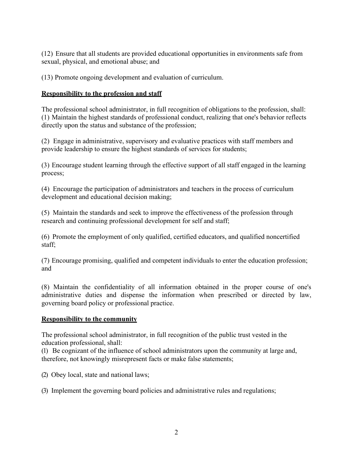sexual, physical, and emotional abuse; and (12) Ensure that all students are provided educational opportunities in environments safe from

(13) Promote ongoing development and evaluation of curriculum.

### **Responsibility to the profession and staff**

 directly upon the status and substance of the profession; The professional school administrator, in full recognition of obligations to the profession, shall: (1) Maintain the highest standards of professional conduct, realizing that one's behavior reflects

 provide leadership to ensure the highest standards of services for students; (2) Engage in administrative, supervisory and evaluative practices with staff members and

(3) Encourage student learning through the effective support of all staff engaged in the learning process;

 development and educational decision making; (4) Encourage the participation of administrators and teachers in the process of curriculum

 research and continuing professional development for self and staff; (5) Maintain the standards and seek to improve the effectiveness of the profession through

(6) Promote the employment of only qualified, certified educators, and qualified noncertified staff;

(7) Encourage promising, qualified and competent individuals to enter the education profession; and

 governing board policy or professional practice. (8) Maintain the confidentiality of all information obtained in the proper course of one's administrative duties and dispense the information when prescribed or directed by law,

### **Responsibility to the community**

The professional school administrator, in full recognition of the public trust vested in the education professional, shall:

 therefore, not knowingly misrepresent facts or make false statements; (1) Be cognizant of the influence of school administrators upon the community at large and,

(2) Obey local, state and national laws;

(3) Implement the governing board policies and administrative rules and regulations;